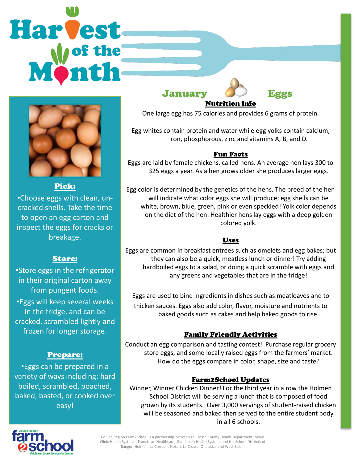# Harvest



Pick:

•Choose eggs with clean, uncracked shells. Take the time to open an egg carton and inspect the eggs for cracks or breakage.

# Store:

•Store eggs in the refrigerator in their original carton away from pungent foods. •Eggs will keep several weeks in the fridge, and can be cracked, scrambled lightly and frozen for longer storage.

### Prepare:

•Eggs can be prepared in a variety of ways including: hard boiled, scrambled, poached, baked, basted, or cooked over easy!

January Eggs



Nutrition Info One large egg has 75 calories and provides 6 grams of protein.

Egg whites contain protein and water while egg yolks contain calcium, iron, phosphorous, zinc and vitamins A, B, and D.

### Fun Facts

Eggs are laid by female chickens, called hens. An average hen lays 300 to 325 eggs a year. As a hen grows older she produces larger eggs.

Egg color is determined by the genetics of the hens. The breed of the hen will indicate what color eggs she will produce; egg shells can be white, brown, blue, green, pink or even speckled! Yolk color depends on the diet of the hen. Healthier hens lay eggs with a deep golden colored yolk.

### Uses

Eggs are common in breakfast entrées such as omelets and egg bakes; but they can also be a quick, meatless lunch or dinner! Try adding hardboiled eggs to a salad, or doing a quick scramble with eggs and any greens and vegetables that are in the fridge!

Eggs are used to bind ingredients in dishes such as meatloaves and to thicken sauces. Eggs also add color, flavor, moisture and nutrients to baked goods such as cakes and help baked goods to rise.

# Family Friendly Activities

Conduct an egg comparison and tasting contest! Purchase regular grocery store eggs, and some locally raised eggs from the farmers' market. How do the eggs compare in color, shape, size and taste?

### Farm2School Updates

Winner, Winner Chicken Dinner! For the third year in a row the Holmen School District will be serving a lunch that is composed of food grown by its students. Over 3,000 servings of student-raised chicken will be seasoned and baked then served to the entire student body in all 6 schools.



Coulee Region Farm2School is a partnership between La Crosse County Health Department, Mayo Clinic Health System – Franciscan Healthcare, Gundersen Health System, and the School Districts of Bangor, Holmen, La Crescent-Hokah, La Crosse, Onalaska, and West Salem